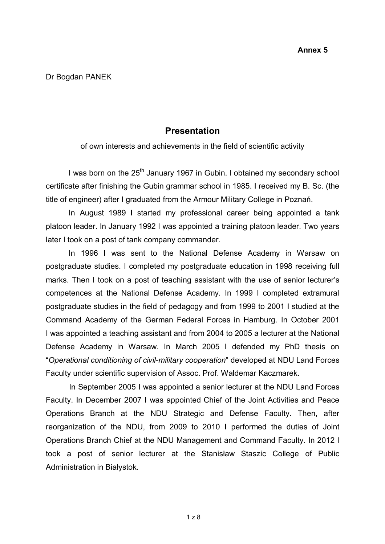## **Presentation**

of own interests and achievements in the field of scientific activity

I was born on the  $25<sup>th</sup>$  January 1967 in Gubin. I obtained my secondary school certificate after finishing the Gubin grammar school in 1985. I received my B. Sc. (the title of engineer) after I graduated from the Armour Military College in Poznań.

In August 1989 I started my professional career being appointed a tank platoon leader. In January 1992 I was appointed a training platoon leader. Two years later I took on a post of tank company commander.

In 1996 I was sent to the National Defense Academy in Warsaw on postgraduate studies. I completed my postgraduate education in 1998 receiving full marks. Then I took on a post of teaching assistant with the use of senior lecturer's competences at the National Defense Academy. In 1999 I completed extramural postgraduate studies in the field of pedagogy and from 1999 to 2001 I studied at the Command Academy of the German Federal Forces in Hamburg. In October 2001 I was appointed a teaching assistant and from 2004 to 2005 a lecturer at the National Defense Academy in Warsaw. In March 2005 I defended my PhD thesis on "*Operational conditioning of civil-military cooperation*" developed at NDU Land Forces Faculty under scientific supervision of Assoc. Prof. Waldemar Kaczmarek.

In September 2005 I was appointed a senior lecturer at the NDU Land Forces Faculty. In December 2007 I was appointed Chief of the Joint Activities and Peace Operations Branch at the NDU Strategic and Defense Faculty. Then, after reorganization of the NDU, from 2009 to 2010 I performed the duties of Joint Operations Branch Chief at the NDU Management and Command Faculty. In 2012 I took a post of senior lecturer at the Stanisław Staszic College of Public Administration in Białystok.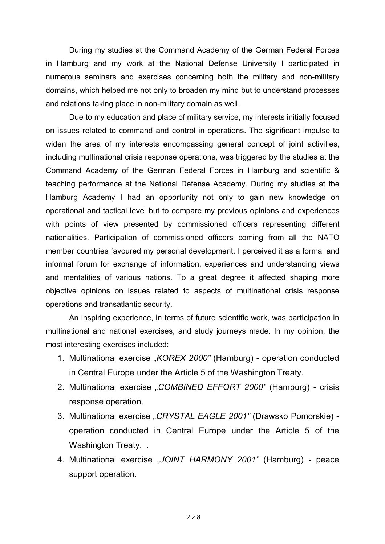During my studies at the Command Academy of the German Federal Forces in Hamburg and my work at the National Defense University I participated in numerous seminars and exercises concerning both the military and non-military domains, which helped me not only to broaden my mind but to understand processes and relations taking place in non-military domain as well.

Due to my education and place of military service, my interests initially focused on issues related to command and control in operations. The significant impulse to widen the area of my interests encompassing general concept of joint activities, including multinational crisis response operations, was triggered by the studies at the Command Academy of the German Federal Forces in Hamburg and scientific & teaching performance at the National Defense Academy. During my studies at the Hamburg Academy I had an opportunity not only to gain new knowledge on operational and tactical level but to compare my previous opinions and experiences with points of view presented by commissioned officers representing different nationalities. Participation of commissioned officers coming from all the NATO member countries favoured my personal development. I perceived it as a formal and informal forum for exchange of information, experiences and understanding views and mentalities of various nations. To a great degree it affected shaping more objective opinions on issues related to aspects of multinational crisis response operations and transatlantic security.

An inspiring experience, in terms of future scientific work, was participation in multinational and national exercises, and study journeys made. In my opinion, the most interesting exercises included:

- 1. Multinational exercise *"KOREX 2000"* (Hamburg) operation conducted in Central Europe under the Article 5 of the Washington Treaty.
- 2. Multinational exercise *"COMBINED EFFORT 2000"* (Hamburg) crisis response operation.
- 3. Multinational exercise *"CRYSTAL EAGLE 2001"* (Drawsko Pomorskie) operation conducted in Central Europe under the Article 5 of the Washington Treaty...
- 4. Multinational exercise *"JOINT HARMONY 2001"* (Hamburg) peace support operation.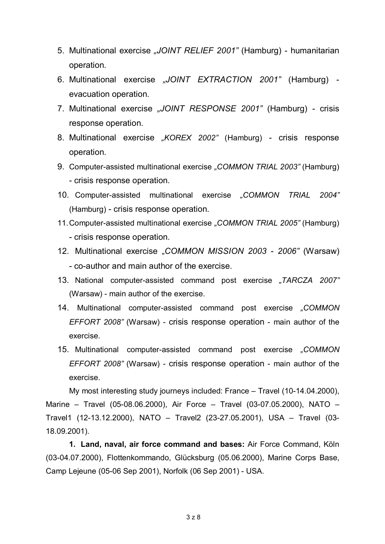- 5. Multinational exercise *"JOINT RELIEF 2001"* (Hamburg) humanitarian operation.
- 6. Multinational exercise *"JOINT EXTRACTION 2001"* (Hamburg) evacuation operation.
- 7. Multinational exercise *"JOINT RESPONSE 2001"* (Hamburg) crisis response operation.
- 8. Multinational exercise *"KOREX 2002"* (Hamburg) crisis response operation.
- 9. Computer-assisted multinational exercise *"COMMON TRIAL 2003"* (Hamburg) - crisis response operation.
- 10. Computer-assisted multinational exercise *"COMMON TRIAL 2004"*  (Hamburg) - crisis response operation.
- 11.Computer-assisted multinational exercise *"COMMON TRIAL 2005"* (Hamburg) - crisis response operation.
- 12. Multinational exercise "*COMMON MISSION 2003 2006"* (Warsaw) - co-author and main author of the exercise.
- 13. National computer-assisted command post exercise *"TARCZA 2007"* (Warsaw) - main author of the exercise.
- 14. Multinational computer-assisted command post exercise *"COMMON EFFORT 2008"* (Warsaw) - crisis response operation - main author of the exercise.
- 15. Multinational computer-assisted command post exercise *"COMMON EFFORT 2008"* (Warsaw) - crisis response operation - main author of the exercise.

My most interesting study journeys included: France – Travel (10-14.04.2000), Marine – Travel (05-08.06.2000), Air Force – Travel (03-07.05.2000), NATO – Travel1 (12-13.12.2000), NATO – Travel2 (23-27.05.2001), USA – Travel (03- 18.09.2001).

**1. Land, naval, air force command and bases:** Air Force Command, Köln (03-04.07.2000), Flottenkommando, Glücksburg (05.06.2000), Marine Corps Base, Camp Lejeune (05-06 Sep 2001), Norfolk (06 Sep 2001) - USA.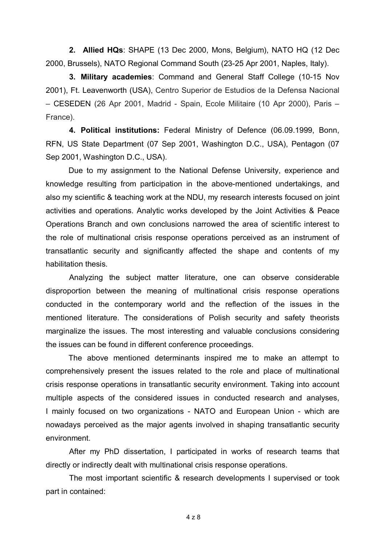**2. Allied HQs**: SHAPE (13 Dec 2000, Mons, Belgium), NATO HQ (12 Dec 2000, Brussels), NATO Regional Command South (23-25 Apr 2001, Naples, Italy).

**3. Military academies**: Command and General Staff College (10-15 Nov 2001), Ft. Leavenworth (USA), Centro Superior de Estudios de la Defensa Nacional – CESEDEN (26 Apr 2001, Madrid - Spain, Ecole Militaire (10 Apr 2000), Paris – France).

**4. Political institutions:** Federal Ministry of Defence (06.09.1999, Bonn, RFN, US State Department (07 Sep 2001, Washington D.C., USA), Pentagon (07 Sep 2001, Washington D.C., USA).

Due to my assignment to the National Defense University, experience and knowledge resulting from participation in the above-mentioned undertakings, and also my scientific & teaching work at the NDU, my research interests focused on joint activities and operations. Analytic works developed by the Joint Activities & Peace Operations Branch and own conclusions narrowed the area of scientific interest to the role of multinational crisis response operations perceived as an instrument of transatlantic security and significantly affected the shape and contents of my habilitation thesis.

Analyzing the subject matter literature, one can observe considerable disproportion between the meaning of multinational crisis response operations conducted in the contemporary world and the reflection of the issues in the mentioned literature. The considerations of Polish security and safety theorists marginalize the issues. The most interesting and valuable conclusions considering the issues can be found in different conference proceedings.

The above mentioned determinants inspired me to make an attempt to comprehensively present the issues related to the role and place of multinational crisis response operations in transatlantic security environment. Taking into account multiple aspects of the considered issues in conducted research and analyses, I mainly focused on two organizations - NATO and European Union - which are nowadays perceived as the major agents involved in shaping transatlantic security environment.

After my PhD dissertation, I participated in works of research teams that directly or indirectly dealt with multinational crisis response operations.

The most important scientific & research developments I supervised or took part in contained: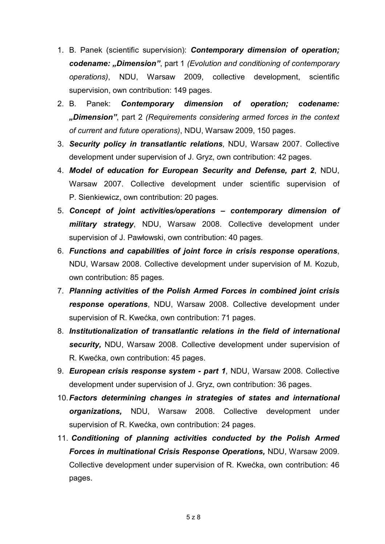- 1. B. Panek (scientific supervision): *Contemporary dimension of operation; codename: "Dimension"*, part 1 *(Evolution and conditioning of contemporary operations)*, NDU, Warsaw 2009, collective development, scientific supervision, own contribution: 149 pages.
- 2. B. Panek: *Contemporary dimension of operation; codename: "Dimension"*, part 2 *(Requirements considering armed forces in the context of current and future operations)*, NDU, Warsaw 2009, 150 pages.
- 3. *Security policy in transatlantic relations*, NDU, Warsaw 2007. Collective development under supervision of J. Gryz, own contribution: 42 pages.
- 4. *Model of education for European Security and Defense, part 2*, NDU, Warsaw 2007. Collective development under scientific supervision of P. Sienkiewicz, own contribution: 20 pages.
- 5. *Concept of joint activities/operations – contemporary dimension of military strategy*, NDU, Warsaw 2008. Collective development under supervision of J. Pawłowski, own contribution: 40 pages.
- 6. *Functions and capabilities of joint force in crisis response operations*, NDU, Warsaw 2008. Collective development under supervision of M. Kozub, own contribution: 85 pages.
- 7. *Planning activities of the Polish Armed Forces in combined joint crisis response operations*, NDU, Warsaw 2008. Collective development under supervision of R. Kwećka, own contribution: 71 pages.
- 8. *Institutionalization of transatlantic relations in the field of international security,* NDU, Warsaw 2008. Collective development under supervision of R. Kwećka, own contribution: 45 pages.
- 9. *European crisis response system - part 1*, NDU, Warsaw 2008. Collective development under supervision of J. Gryz, own contribution: 36 pages.
- 10.*Factors determining changes in strategies of states and international organizations,* NDU, Warsaw 2008. Collective development under supervision of R. Kwećka, own contribution: 24 pages.
- 11. *Conditioning of planning activities conducted by the Polish Armed Forces in multinational Crisis Response Operations,* NDU, Warsaw 2009. Collective development under supervision of R. Kwećka, own contribution: 46 pages.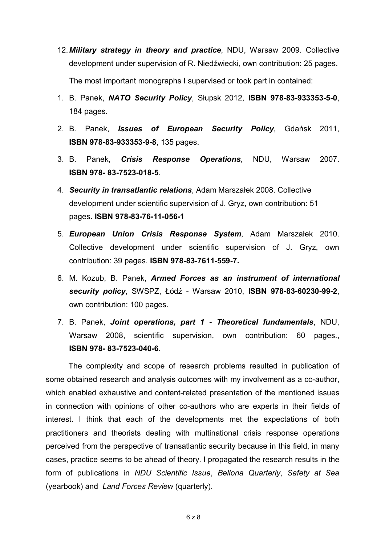- 12.*Military strategy in theory and practice*, NDU, Warsaw 2009. Collective development under supervision of R. Niedźwiecki, own contribution: 25 pages. The most important monographs I supervised or took part in contained:
- 1. B. Panek, *NATO Security Policy*, Słupsk 2012, **ISBN 978-83-933353-5-0**, 184 pages.
- 2. B. Panek, *Issues of European Security Policy*, Gdańsk 2011, **ISBN 978-83-933353-9-8**, 135 pages.
- 3. B. Panek, *Crisis Response Operations*, NDU, Warsaw 2007. **ISBN 978- 83-7523-018-5**.
- 4. *Security in transatlantic relations*, Adam Marszałek 2008. Collective development under scientific supervision of J. Gryz, own contribution: 51 pages. **ISBN 978-83-76-11-056-1**
- 5. *European Union Crisis Response System*, Adam Marszałek 2010. Collective development under scientific supervision of J. Gryz, own contribution: 39 pages. **ISBN 978-83-7611-559-7.**
- 6. M. Kozub, B. Panek, *Armed Forces as an instrument of international security policy*, SWSPZ, Łódź - Warsaw 2010, **ISBN 978-83-60230-99-2**, own contribution: 100 pages.
- 7. B. Panek, *Joint operations, part 1 Theoretical fundamentals*, NDU, Warsaw 2008, scientific supervision, own contribution: 60 pages., **ISBN 978- 83-7523-040-6**.

The complexity and scope of research problems resulted in publication of some obtained research and analysis outcomes with my involvement as a co-author, which enabled exhaustive and content-related presentation of the mentioned issues in connection with opinions of other co-authors who are experts in their fields of interest. I think that each of the developments met the expectations of both practitioners and theorists dealing with multinational crisis response operations perceived from the perspective of transatlantic security because in this field, in many cases, practice seems to be ahead of theory. I propagated the research results in the form of publications in *NDU Scientific Issue*, *Bellona Quarterly*, *Safety at Sea* (yearbook) and *Land Forces Review* (quarterly).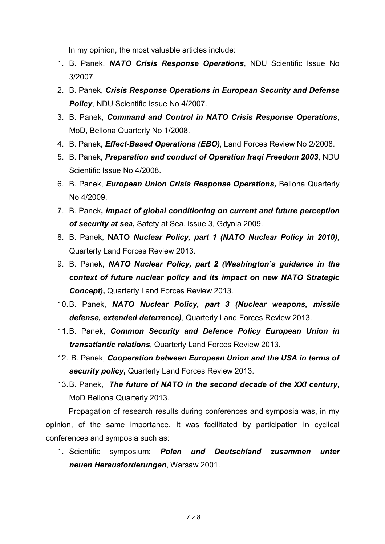In my opinion, the most valuable articles include:

- 1. B. Panek, *NATO Crisis Response Operations*, NDU Scientific Issue No 3/2007.
- 2. B. Panek, *Crisis Response Operations in European Security and Defense Policy*, NDU Scientific Issue No 4/2007.
- 3. B. Panek, *Command and Control in NATO Crisis Response Operations*, MoD, Bellona Quarterly No 1/2008.
- 4. B. Panek, *Effect-Based Operations (EBO)*, Land Forces Review No 2/2008.
- 5. B. Panek, *Preparation and conduct of Operation Iraqi Freedom 2003*, NDU Scientific Issue No 4/2008.
- 6. B. Panek, *European Union Crisis Response Operations,* Bellona Quarterly No 4/2009.
- 7. B. Panek**,** *Impact of global conditioning on current and future perception of security at sea***,** Safety at Sea, issue 3, Gdynia 2009.
- 8. B. Panek, **NATO** *Nuclear Policy, part 1 (NATO Nuclear Policy in 2010)***,** Quarterly Land Forces Review 2013.
- 9. B. Panek, *NATO Nuclear Policy, part 2 (Washington's guidance in the context of future nuclear policy and its impact on new NATO Strategic Concept)***,** Quarterly Land Forces Review 2013.
- 10.B. Panek, *NATO Nuclear Policy, part 3 (Nuclear weapons, missile defense, extended deterrence),* Quarterly Land Forces Review 2013.
- 11.B. Panek, *Common Security and Defence Policy European Union in transatlantic relations*, Quarterly Land Forces Review 2013.
- 12. B. Panek, *Cooperation between European Union and the USA in terms of security policy***,** Quarterly Land Forces Review 2013.
- 13.B. Panek, *The future of NATO in the second decade of the XXI century*, MoD Bellona Quarterly 2013.

Propagation of research results during conferences and symposia was, in my opinion, of the same importance. It was facilitated by participation in cyclical conferences and symposia such as:

1. Scientific symposium: *Polen und Deutschland zusammen unter neuen Herausforderungen*, Warsaw 2001.